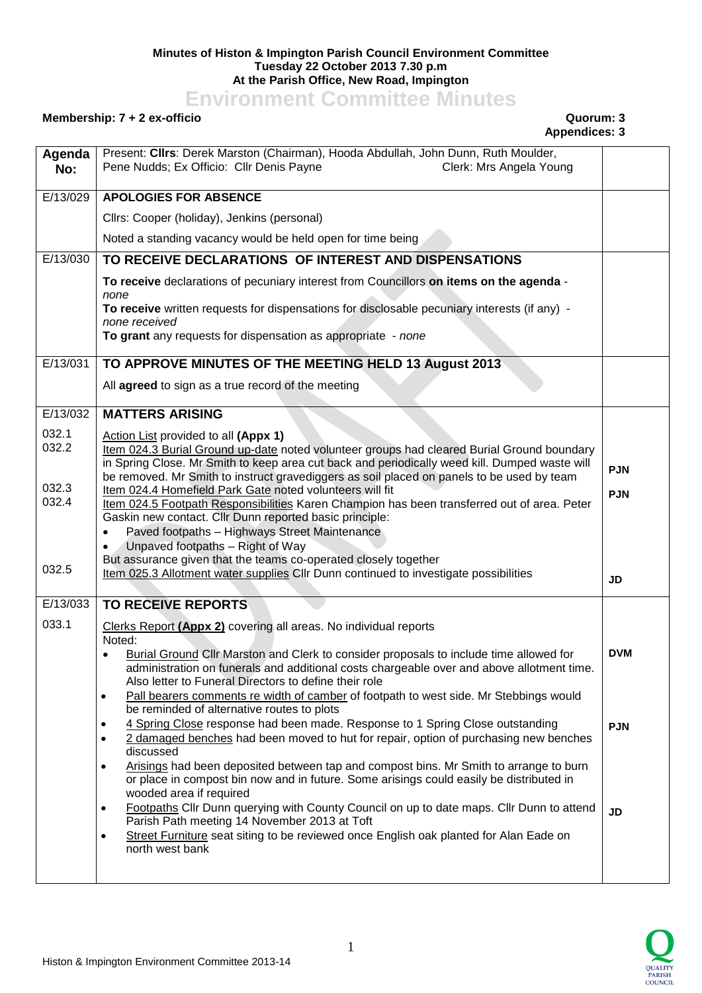## **Minutes of Histon & Impington Parish Council Environment Committee Tuesday 22 October 2013 7.30 p.m At the Parish Office, New Road, Impington**

**Environment Committee Minutes**

## **Membership: 7 + 2 ex-officio Quorum: 3**

| Agenda<br>No:           | Present: Clirs: Derek Marston (Chairman), Hooda Abdullah, John Dunn, Ruth Moulder,<br>Pene Nudds; Ex Officio: Cllr Denis Payne<br>Clerk: Mrs Angela Young                                                                                                                                                                                                                                    |            |
|-------------------------|----------------------------------------------------------------------------------------------------------------------------------------------------------------------------------------------------------------------------------------------------------------------------------------------------------------------------------------------------------------------------------------------|------------|
| E/13/029                | <b>APOLOGIES FOR ABSENCE</b>                                                                                                                                                                                                                                                                                                                                                                 |            |
|                         | Cllrs: Cooper (holiday), Jenkins (personal)                                                                                                                                                                                                                                                                                                                                                  |            |
|                         | Noted a standing vacancy would be held open for time being                                                                                                                                                                                                                                                                                                                                   |            |
| E/13/030                | TO RECEIVE DECLARATIONS OF INTEREST AND DISPENSATIONS                                                                                                                                                                                                                                                                                                                                        |            |
|                         | To receive declarations of pecuniary interest from Councillors on items on the agenda -                                                                                                                                                                                                                                                                                                      |            |
|                         | none<br>To receive written requests for dispensations for disclosable pecuniary interests (if any) -<br>none received                                                                                                                                                                                                                                                                        |            |
|                         | To grant any requests for dispensation as appropriate - none                                                                                                                                                                                                                                                                                                                                 |            |
| E/13/031                | TO APPROVE MINUTES OF THE MEETING HELD 13 August 2013                                                                                                                                                                                                                                                                                                                                        |            |
|                         | All agreed to sign as a true record of the meeting                                                                                                                                                                                                                                                                                                                                           |            |
| E/13/032                | <b>MATTERS ARISING</b>                                                                                                                                                                                                                                                                                                                                                                       |            |
| 032.1<br>032.2<br>032.3 | Action List provided to all (Appx 1)<br>Item 024.3 Burial Ground up-date noted volunteer groups had cleared Burial Ground boundary<br>in Spring Close. Mr Smith to keep area cut back and periodically weed kill. Dumped waste will<br>be removed. Mr Smith to instruct gravediggers as soil placed on panels to be used by team<br>Item 024.4 Homefield Park Gate noted volunteers will fit | <b>PJN</b> |
| 032.4                   | Item 024.5 Footpath Responsibilities Karen Champion has been transferred out of area. Peter<br>Gaskin new contact. Cllr Dunn reported basic principle:<br>Paved footpaths - Highways Street Maintenance<br>Unpaved footpaths - Right of Way<br>But assurance given that the teams co-operated closely together                                                                               | <b>PJN</b> |
| 032.5                   | Item 025.3 Allotment water supplies CIIr Dunn continued to investigate possibilities                                                                                                                                                                                                                                                                                                         | <b>JD</b>  |
| E/13/033                | <b>TO RECEIVE REPORTS</b>                                                                                                                                                                                                                                                                                                                                                                    |            |
| 033.1                   | Clerks Report (Appx 2) covering all areas. No individual reports<br>Noted:                                                                                                                                                                                                                                                                                                                   |            |
|                         | Burial Ground Cllr Marston and Clerk to consider proposals to include time allowed for<br>administration on funerals and additional costs chargeable over and above allotment time.<br>Also letter to Funeral Directors to define their role<br>Pall bearers comments re width of camber of footpath to west side. Mr Stebbings would<br>$\bullet$                                           | <b>DVM</b> |
|                         | be reminded of alternative routes to plots                                                                                                                                                                                                                                                                                                                                                   |            |
|                         | 4 Spring Close response had been made. Response to 1 Spring Close outstanding<br>2 damaged benches had been moved to hut for repair, option of purchasing new benches<br>$\bullet$<br>discussed                                                                                                                                                                                              | <b>PJN</b> |
|                         | Arisings had been deposited between tap and compost bins. Mr Smith to arrange to burn<br>$\bullet$<br>or place in compost bin now and in future. Some arisings could easily be distributed in<br>wooded area if required                                                                                                                                                                     |            |
|                         | Footpaths Cllr Dunn querying with County Council on up to date maps. Cllr Dunn to attend<br>$\bullet$<br>Parish Path meeting 14 November 2013 at Toft<br>Street Furniture seat siting to be reviewed once English oak planted for Alan Eade on<br>$\bullet$<br>north west bank                                                                                                               | <b>JD</b>  |
|                         |                                                                                                                                                                                                                                                                                                                                                                                              |            |